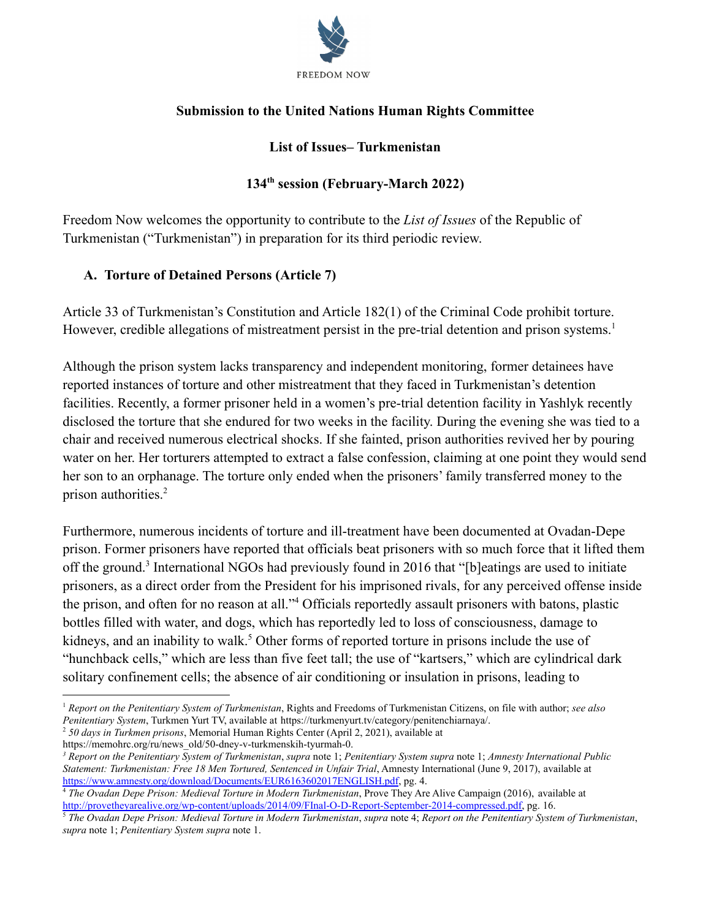

## **Submission to the United Nations Human Rights Committee**

## **List of Issues– Turkmenistan**

## **134th session (February-March 2022)**

Freedom Now welcomes the opportunity to contribute to the *List of Issues* of the Republic of Turkmenistan ("Turkmenistan") in preparation for its third periodic review.

# **A. Torture of Detained Persons (Article 7)**

Article 33 of Turkmenistan's Constitution and Article 182(1) of the Criminal Code prohibit torture. However, credible allegations of mistreatment persist in the pre-trial detention and prison systems.<sup>1</sup>

Although the prison system lacks transparency and independent monitoring, former detainees have reported instances of torture and other mistreatment that they faced in Turkmenistan's detention facilities. Recently, a former prisoner held in a women's pre-trial detention facility in Yashlyk recently disclosed the torture that she endured for two weeks in the facility. During the evening she was tied to a chair and received numerous electrical shocks. If she fainted, prison authorities revived her by pouring water on her. Her torturers attempted to extract a false confession, claiming at one point they would send her son to an orphanage. The torture only ended when the prisoners' family transferred money to the prison authorities.<sup>2</sup>

Furthermore, numerous incidents of torture and ill-treatment have been documented at Ovadan-Depe prison. Former prisoners have reported that officials beat prisoners with so much force that it lifted them off the ground.<sup>3</sup> International NGOs had previously found in 2016 that "[b]eatings are used to initiate prisoners, as a direct order from the President for his imprisoned rivals, for any perceived offense inside the prison, and often for no reason at all."<sup>4</sup> Officials reportedly assault prisoners with batons, plastic bottles filled with water, and dogs, which has reportedly led to loss of consciousness, damage to kidneys, and an inability to walk.<sup>5</sup> Other forms of reported torture in prisons include the use of "hunchback cells," which are less than five feet tall; the use of "kartsers," which are cylindrical dark solitary confinement cells; the absence of air conditioning or insulation in prisons, leading to

<sup>2</sup> *50 days in Turkmen prisons*, Memorial Human Rights Center (April 2, 2021), available at https://memohrc.org/ru/news\_old/50-dney-v-turkmenskih-tyurmah-0.

<sup>1</sup> *Report on the Penitentiary System of Turkmenistan*, Rights and Freedoms of Turkmenistan Citizens, on file with author; *see also Penitentiary System*, Turkmen Yurt TV, available at https://turkmenyurt.tv/category/penitenchiarnaya/.

*<sup>3</sup> Report on the Penitentiary System of Turkmenistan*, *supra* note 1; *Penitentiary System supra* note 1; *Amnesty International Public Statement: Turkmenistan: Free 18 Men Tortured, Sentenced in Unfair Trial*, Amnesty International (June 9, 2017), available at <https://www.amnesty.org/download/Documents/EUR6163602017ENGLISH.pdf>, pg. 4.

<sup>4</sup> *The Ovadan Depe Prison: Medieval Torture in Modern Turkmenistan*, Prove They Are Alive Campaign (2016), available at [http://provetheyarealive.org/wp-content/uploads/2014/09/FInal-O-D-Report-September-2014-compressed.pdf,](http://provetheyarealive.org/wp-content/uploads/2014/09/FInal-O-D-Report-September-2014-compressed.pdf) pg. 16.

<sup>5</sup> *The Ovadan Depe Prison: Medieval Torture in Modern Turkmenistan*, *supra* note 4; *Report on the Penitentiary System of Turkmenistan*, *supra* note 1; *Penitentiary System supra* note 1.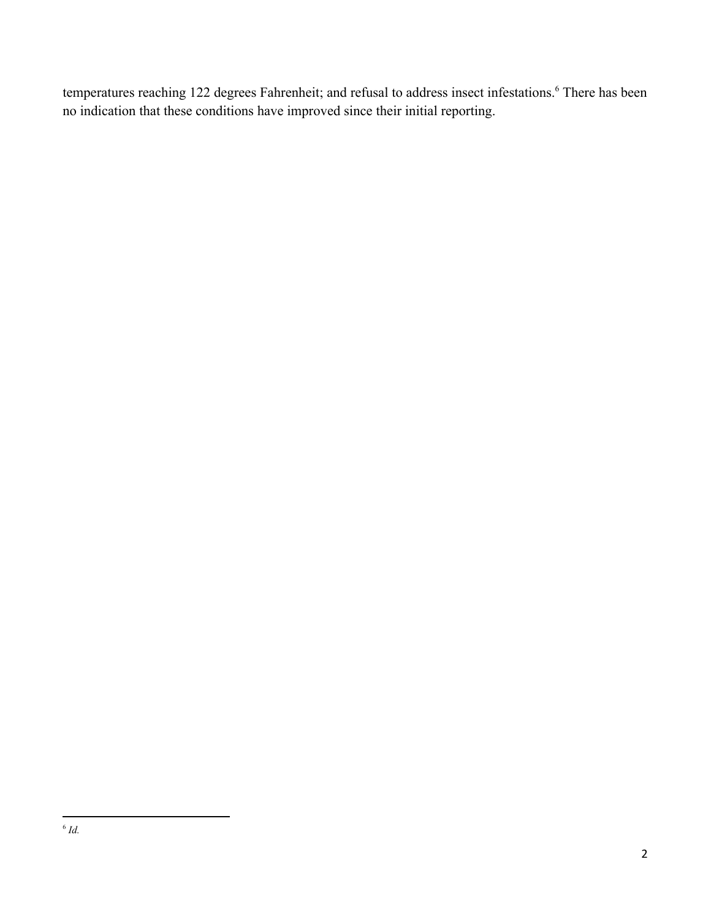temperatures reaching 122 degrees Fahrenheit; and refusal to address insect infestations.<sup>6</sup> There has been no indication that these conditions have improved since their initial reporting.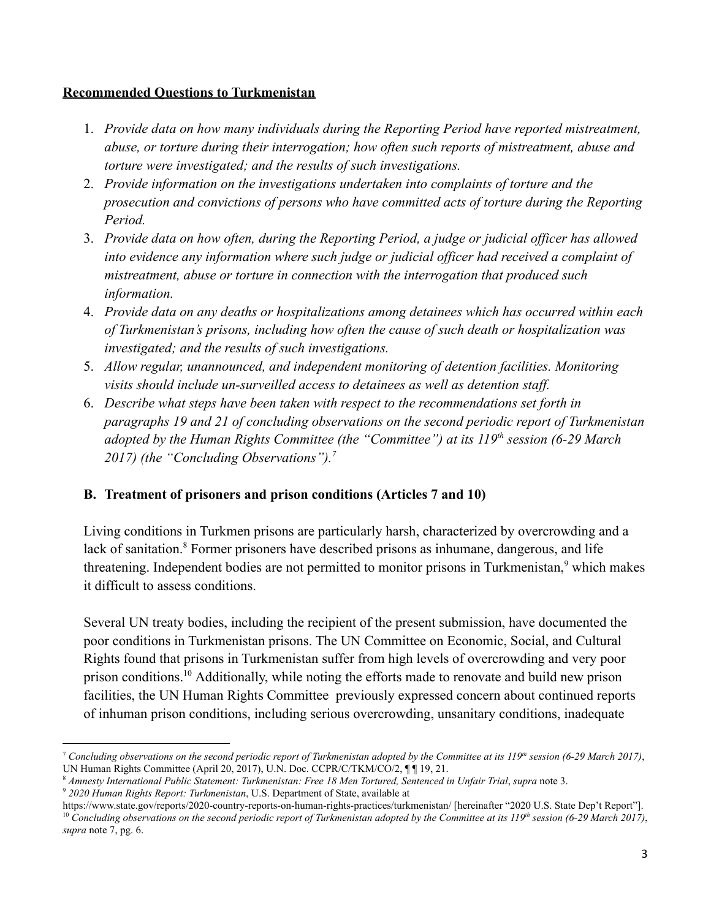## **Recommended Questions to Turkmenistan**

- 1. *Provide data on how many individuals during the Reporting Period have reported mistreatment, abuse, or torture during their interrogation; how often such reports of mistreatment, abuse and torture were investigated; and the results of such investigations.*
- 2. *Provide information on the investigations undertaken into complaints of torture and the prosecution and convictions of persons who have committed acts of torture during the Reporting Period.*
- 3. *Provide data on how often, during the Reporting Period, a judge or judicial officer has allowed into evidence any information where such judge or judicial officer had received a complaint of mistreatment, abuse or torture in connection with the interrogation that produced such information.*
- 4. *Provide data on any deaths or hospitalizations among detainees which has occurred within each of Turkmenistan's prisons, including how often the cause of such death or hospitalization was investigated; and the results of such investigations.*
- 5. *Allow regular, unannounced, and independent monitoring of detention facilities. Monitoring visits should include un-surveilled access to detainees as well as detention staff.*
- 6. *Describe what steps have been taken with respect to the recommendations set forth in paragraphs 19 and 21 of concluding observations on the second periodic report of Turkmenistan adopted by the Human Rights Committee (the "Committee") at its 119th session (6-29 March 2017) (the "Concluding Observations").<sup>7</sup>*

# **B. Treatment of prisoners and prison conditions (Articles 7 and 10)**

Living conditions in Turkmen prisons are particularly harsh, characterized by overcrowding and a lack of sanitation.<sup>8</sup> Former prisoners have described prisons as inhumane, dangerous, and life threatening. Independent bodies are not permitted to monitor prisons in Turkmenistan,<sup>9</sup> which makes it difficult to assess conditions.

Several UN treaty bodies, including the recipient of the present submission, have documented the poor conditions in Turkmenistan prisons. The UN Committee on Economic, Social, and Cultural Rights found that prisons in Turkmenistan suffer from high levels of overcrowding and very poor prison conditions.<sup>10</sup> Additionally, while noting the efforts made to renovate and build new prison facilities, the UN Human Rights Committee previously expressed concern about continued reports of inhuman prison conditions, including serious overcrowding, unsanitary conditions, inadequate

<sup>8</sup> *Amnesty International Public Statement: Turkmenistan: Free 18 Men Tortured, Sentenced in Unfair Trial*, *supra* note 3.

<sup>7</sup> *Concluding observations on the second periodic report of Turkmenistan adopted by the Committee at its 119th session (6-29 March 2017)*, UN Human Rights Committee (April 20, 2017), U.N. Doc. CCPR/C/TKM/CO/2, ¶ ¶ 19, 21.

<sup>9</sup> *2020 Human Rights Report: Turkmenistan*, U.S. Department of State, available at

<sup>10</sup> *Concluding observations on the second periodic report of Turkmenistan adopted by the Committee at its 119th session (6-29 March 2017)*, *supra* note 7, pg. 6. https://www.state.gov/reports/2020-country-reports-on-human-rights-practices/turkmenistan/ [hereinafter "2020 U.S. State Dep't Report"].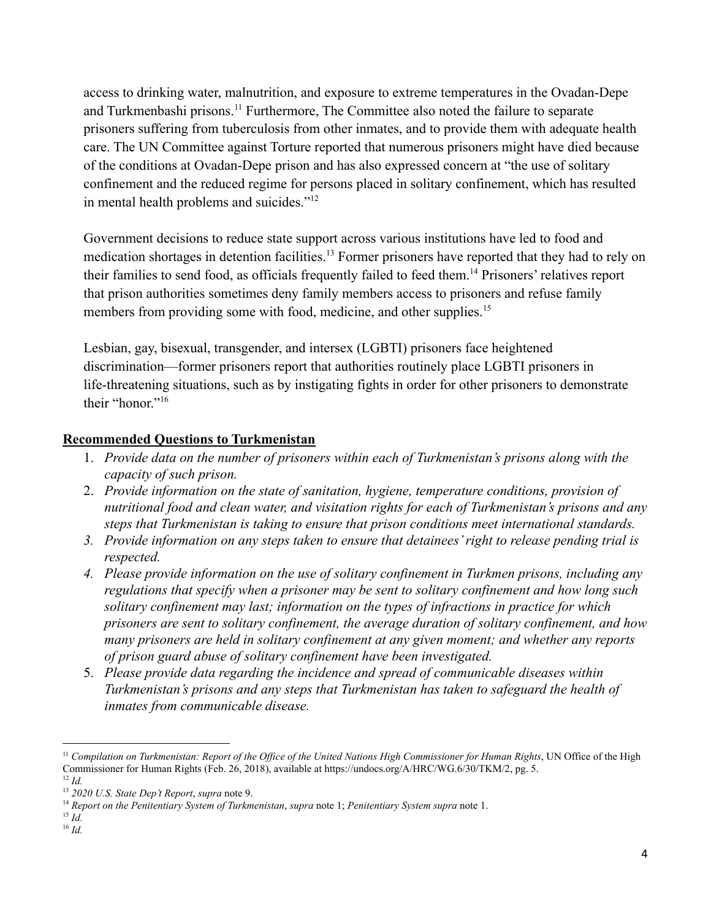access to drinking water, malnutrition, and exposure to extreme temperatures in the Ovadan-Depe and Turkmenbashi prisons.<sup>11</sup> Furthermore, The Committee also noted the failure to separate prisoners suffering from tuberculosis from other inmates, and to provide them with adequate health care. The UN Committee against Torture reported that numerous prisoners might have died because of the conditions at Ovadan-Depe prison and has also expressed concern at "the use of solitary confinement and the reduced regime for persons placed in solitary confinement, which has resulted in mental health problems and suicides."<sup>12</sup>

Government decisions to reduce state support across various institutions have led to food and medication shortages in detention facilities.<sup>13</sup> Former prisoners have reported that they had to rely on their families to send food, as officials frequently failed to feed them.<sup>14</sup> Prisoners' relatives report that prison authorities sometimes deny family members access to prisoners and refuse family members from providing some with food, medicine, and other supplies.<sup>15</sup>

Lesbian, gay, bisexual, transgender, and intersex (LGBTI) prisoners face heightened discrimination—former prisoners report that authorities routinely place LGBTI prisoners in life-threatening situations, such as by instigating fights in order for other prisoners to demonstrate their "honor"<sup>16</sup>

#### **Recommended Questions to Turkmenistan**

- 1. *Provide data on the number of prisoners within each of Turkmenistan's prisons along with the capacity of such prison.*
- 2. *Provide information on the state of sanitation, hygiene, temperature conditions, provision of nutritional food and clean water, and visitation rights for each of Turkmenistan's prisons and any steps that Turkmenistan is taking to ensure that prison conditions meet international standards.*
- *3. Provide information on any steps taken to ensure that detainees' right to release pending trial is respected.*
- *4. Please provide information on the use of solitary confinement in Turkmen prisons, including any regulations that specify when a prisoner may be sent to solitary confinement and how long such solitary confinement may last; information on the types of infractions in practice for which prisoners are sent to solitary confinement, the average duration of solitary confinement, and how many prisoners are held in solitary confinement at any given moment; and whether any reports of prison guard abuse of solitary confinement have been investigated.*
- 5. *Please provide data regarding the incidence and spread of communicable diseases within Turkmenistan's prisons and any steps that Turkmenistan has taken to safeguard the health of inmates from communicable disease.*

16 *Id.* 15 *Id.*

<sup>&</sup>lt;sup>11</sup> Compilation on Turkmenistan: Report of the Office of the United Nations High Commissioner for Human Rights, UN Office of the High Commissioner for Human Rights (Feb. 26, 2018), available at https://undocs.org/A/HRC/WG.6/30/TKM/2, pg. 5.

<sup>12</sup> *Id.*

<sup>13</sup> *2020 U.S. State Dep't Report*, *supra* note 9.

<sup>14</sup> *Report on the Penitentiary System of Turkmenistan*, *supra* note 1; *Penitentiary System supra* note 1.

<sup>4</sup>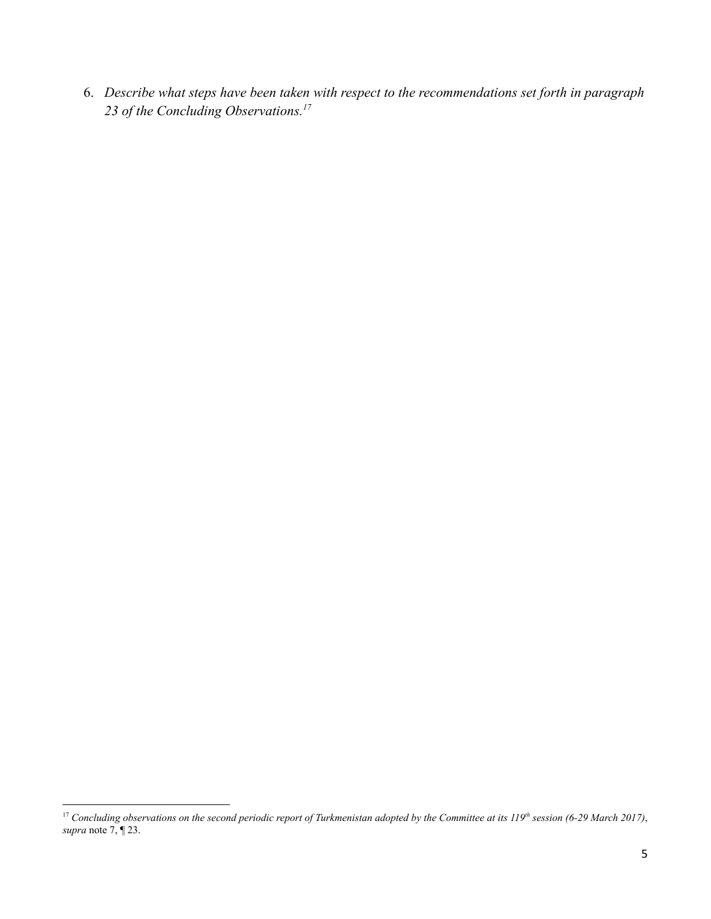6. *Describe what steps have been taken with respect to the recommendations set forth in paragraph 23 of the Concluding Observations.<sup>17</sup>*

<sup>17</sup> *Concluding observations on the second periodic report of Turkmenistan adopted by the Committee at its 119th session (6-29 March 2017)*, *supra* note 7, ¶ 23.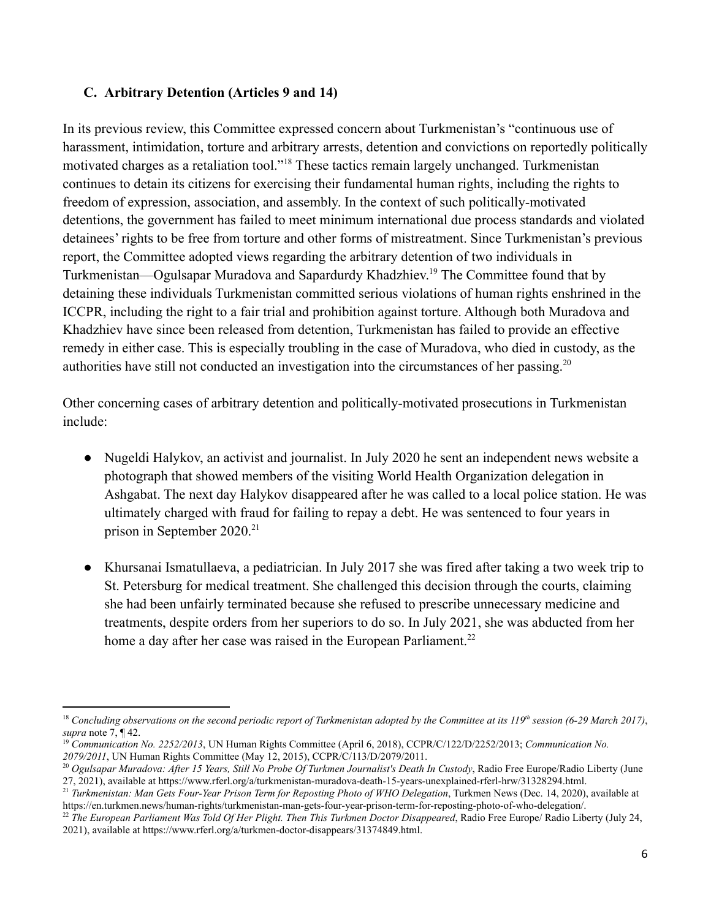## **C. Arbitrary Detention (Articles 9 and 14)**

In its previous review, this Committee expressed concern about Turkmenistan's "continuous use of harassment, intimidation, torture and arbitrary arrests, detention and convictions on reportedly politically motivated charges as a retaliation tool."<sup>18</sup> These tactics remain largely unchanged. Turkmenistan continues to detain its citizens for exercising their fundamental human rights, including the rights to freedom of expression, association, and assembly. In the context of such politically-motivated detentions, the government has failed to meet minimum international due process standards and violated detainees' rights to be free from torture and other forms of mistreatment. Since Turkmenistan's previous report, the Committee adopted views regarding the arbitrary detention of two individuals in Turkmenistan—Ogulsapar Muradova and Sapardurdy Khadzhiev.<sup>19</sup> The Committee found that by detaining these individuals Turkmenistan committed serious violations of human rights enshrined in the ICCPR, including the right to a fair trial and prohibition against torture. Although both Muradova and Khadzhiev have since been released from detention, Turkmenistan has failed to provide an effective remedy in either case. This is especially troubling in the case of Muradova, who died in custody, as the authorities have still not conducted an investigation into the circumstances of her passing.<sup>20</sup>

Other concerning cases of arbitrary detention and politically-motivated prosecutions in Turkmenistan include:

- Nugeldi Halykov, an activist and journalist. In July 2020 he sent an independent news website a photograph that showed members of the visiting World Health Organization delegation in Ashgabat. The next day Halykov disappeared after he was called to a local police station. He was ultimately charged with fraud for failing to repay a debt. He was sentenced to four years in prison in September 2020.<sup>21</sup>
- Khursanai Ismatullaeva, a pediatrician. In July 2017 she was fired after taking a two week trip to St. Petersburg for medical treatment. She challenged this decision through the courts, claiming she had been unfairly terminated because she refused to prescribe unnecessary medicine and treatments, despite orders from her superiors to do so. In July 2021, she was abducted from her home a day after her case was raised in the European Parliament.<sup>22</sup>

<sup>18</sup> *Concluding observations on the second periodic report of Turkmenistan adopted by the Committee at its 119th session (6-29 March 2017)*, *supra* note 7, ¶ 42.

<sup>19</sup> *Communication No. 2252/2013*, UN Human Rights Committee (April 6, 2018), CCPR/C/122/D/2252/2013; *Communication No. 2079/2011*, UN Human Rights Committee (May 12, 2015), CCPR/C/113/D/2079/2011.

<sup>20</sup> *Ogulsapar Muradova: After 15 Years, Still No Probe Of Turkmen Journalist's Death In Custody*, Radio Free Europe/Radio Liberty (June 27, 2021), available at https://www.rferl.org/a/turkmenistan-muradova-death-15-years-unexplained-rferl-hrw/31328294.html.

<sup>21</sup> *Turkmenistan: Man Gets Four-Year Prison Term for Reposting Photo of WHO Delegation*, Turkmen News (Dec. 14, 2020), available at https://en.turkmen.news/human-rights/turkmenistan-man-gets-four-year-prison-term-for-reposting-photo-of-who-delegation/.

<sup>22</sup> *The European Parliament Was Told Of Her Plight. Then This Turkmen Doctor Disappeared*, Radio Free Europe/ Radio Liberty (July 24, 2021), available at https://www.rferl.org/a/turkmen-doctor-disappears/31374849.html.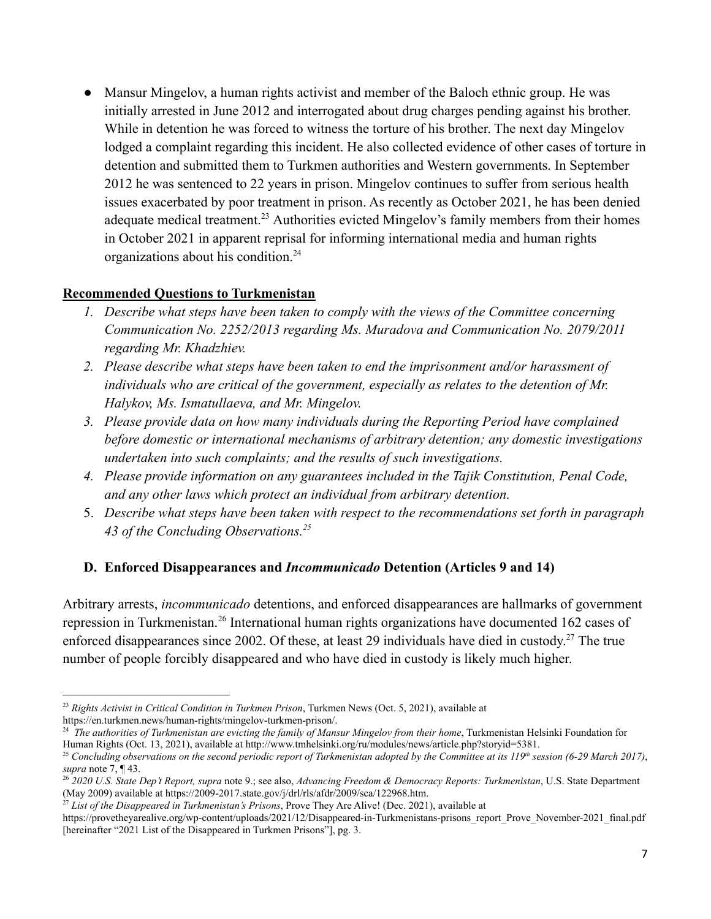• Mansur Mingelov, a human rights activist and member of the Baloch ethnic group. He was initially arrested in June 2012 and interrogated about drug charges pending against his brother. While in detention he was forced to witness the torture of his brother. The next day Mingelov lodged a complaint regarding this incident. He also collected evidence of other cases of torture in detention and submitted them to Turkmen authorities and Western governments. In September 2012 he was sentenced to 22 years in prison. Mingelov continues to suffer from serious health issues exacerbated by poor treatment in prison. As recently as October 2021, he has been denied adequate medical treatment.<sup>23</sup> Authorities evicted Mingelov's family members from their homes in October 2021 in apparent reprisal for informing international media and human rights organizations about his condition.<sup>24</sup>

#### **Recommended Questions to Turkmenistan**

- *1. Describe what steps have been taken to comply with the views of the Committee concerning Communication No. 2252/2013 regarding Ms. Muradova and Communication No. 2079/2011 regarding Mr. Khadzhiev.*
- *2. Please describe what steps have been taken to end the imprisonment and/or harassment of individuals who are critical of the government, especially as relates to the detention of Mr. Halykov, Ms. Ismatullaeva, and Mr. Mingelov.*
- *3. Please provide data on how many individuals during the Reporting Period have complained before domestic or international mechanisms of arbitrary detention; any domestic investigations undertaken into such complaints; and the results of such investigations.*
- *4. Please provide information on any guarantees included in the Tajik Constitution, Penal Code, and any other laws which protect an individual from arbitrary detention.*
- 5. *Describe what steps have been taken with respect to the recommendations set forth in paragraph 43 of the Concluding Observations.<sup>25</sup>*

# **D. Enforced Disappearances and** *Incommunicado* **Detention (Articles 9 and 14)**

Arbitrary arrests, *incommunicado* detentions, and enforced disappearances are hallmarks of government repression in Turkmenistan.<sup>26</sup> International human rights organizations have documented 162 cases of enforced disappearances since 2002. Of these, at least 29 individuals have died in custody.<sup>27</sup> The true number of people forcibly disappeared and who have died in custody is likely much higher.

<sup>23</sup> *Rights Activist in Critical Condition in Turkmen Prison*, Turkmen News (Oct. 5, 2021), available at https://en.turkmen.news/human-rights/mingelov-turkmen-prison/.

<sup>24</sup> *The authorities of Turkmenistan are evicting the family of Mansur Mingelov from their home*, Turkmenistan Helsinki Foundation for Human Rights (Oct. 13, 2021), available at http://www.tmhelsinki.org/ru/modules/news/article.php?storyid=5381.

<sup>25</sup> *Concluding observations on the second periodic report of Turkmenistan adopted by the Committee at its 119th session (6-29 March 2017)*, *supra* note 7, ¶ 43.

<sup>26</sup> *2020 U.S. State Dep't Report, supra* note 9.; see also, *Advancing Freedom & Democracy Reports: Turkmenistan*, U.S. State Department (May 2009) available at https://2009-2017.state.gov/j/drl/rls/afdr/2009/sca/122968.htm.

<sup>27</sup> *List of the Disappeared in Turkmenistan's Prisons*, Prove They Are Alive! (Dec. 2021), available at

https://provetheyarealive.org/wp-content/uploads/2021/12/Disappeared-in-Turkmenistans-prisons\_report\_Prove\_November-2021\_final.pdf [hereinafter "2021 List of the Disappeared in Turkmen Prisons"], pg. 3.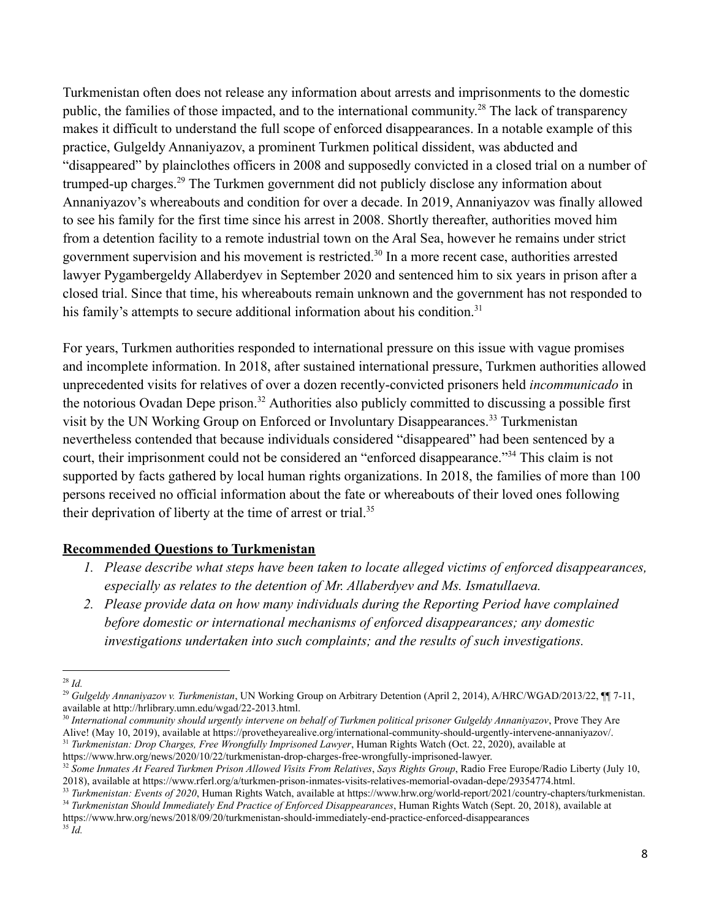Turkmenistan often does not release any information about arrests and imprisonments to the domestic public, the families of those impacted, and to the international community.<sup>28</sup> The lack of transparency makes it difficult to understand the full scope of enforced disappearances. In a notable example of this practice, Gulgeldy Annaniyazov, a prominent Turkmen political dissident, was abducted and "disappeared" by plainclothes officers in 2008 and supposedly convicted in a closed trial on a number of trumped-up charges.<sup>29</sup> The Turkmen government did not publicly disclose any information about Annaniyazov's whereabouts and condition for over a decade. In 2019, Annaniyazov was finally allowed to see his family for the first time since his arrest in 2008. Shortly thereafter, authorities moved him from a detention facility to a remote industrial town on the Aral Sea, however he remains under strict government supervision and his movement is restricted.<sup>30</sup> In a more recent case, authorities arrested lawyer Pygambergeldy Allaberdyev in September 2020 and sentenced him to six years in prison after a closed trial. Since that time, his whereabouts remain unknown and the government has not responded to his family's attempts to secure additional information about his condition.<sup>31</sup>

For years, Turkmen authorities responded to international pressure on this issue with vague promises and incomplete information. In 2018, after sustained international pressure, Turkmen authorities allowed unprecedented visits for relatives of over a dozen recently-convicted prisoners held *incommunicado* in the notorious Ovadan Depe prison.<sup>32</sup> Authorities also publicly committed to discussing a possible first visit by the UN Working Group on Enforced or Involuntary Disappearances.<sup>33</sup> Turkmenistan nevertheless contended that because individuals considered "disappeared" had been sentenced by a court, their imprisonment could not be considered an "enforced disappearance."<sup>34</sup> This claim is not supported by facts gathered by local human rights organizations. In 2018, the families of more than 100 persons received no official information about the fate or whereabouts of their loved ones following their deprivation of liberty at the time of arrest or trial.<sup>35</sup>

#### **Recommended Questions to Turkmenistan**

- *1. Please describe what steps have been taken to locate alleged victims of enforced disappearances, especially as relates to the detention of Mr. Allaberdyev and Ms. Ismatullaeva.*
- *2. Please provide data on how many individuals during the Reporting Period have complained before domestic or international mechanisms of enforced disappearances; any domestic investigations undertaken into such complaints; and the results of such investigations.*

<sup>34</sup> *Turkmenistan Should Immediately End Practice of Enforced Disappearances*, Human Rights Watch (Sept. 20, 2018), available at <sup>33</sup> Turkmenistan: Events of 2020, Human Rights Watch, available at https://www.hrw.org/world-report/2021/country-chapters/turkmenistan.

https://www.hrw.org/news/2018/09/20/turkmenistan-should-immediately-end-practice-enforced-disappearances

35 *Id.*

<sup>28</sup> *Id.*

<sup>29</sup> *Gulgeldy Annaniyazov v. Turkmenistan*, UN Working Group on Arbitrary Detention (April 2, 2014), A/HRC/WGAD/2013/22, ¶¶ 7-11, available at http://hrlibrary.umn.edu/wgad/22-2013.html.

<sup>31</sup> *Turkmenistan: Drop Charges, Free Wrongfully Imprisoned Lawyer*, Human Rights Watch (Oct. 22, 2020), available at 30 *International community should urgently intervene on behalf of Turkmen political prisoner Gulgeldy Annaniyazov*, Prove They Are Alive! (May 10, 2019), available at https://provetheyarealive.org/international-community-should-urgently-intervene-annaniyazov/.

<sup>32</sup> *Some Inmates At Feared Turkmen Prison Allowed Visits From Relatives*, *Says Rights Group*, Radio Free Europe/Radio Liberty (July 10, https://www.hrw.org/news/2020/10/22/turkmenistan-drop-charges-free-wrongfully-imprisoned-lawyer.

<sup>2018),</sup> available at https://www.rferl.org/a/turkmen-prison-inmates-visits-relatives-memorial-ovadan-depe/29354774.html.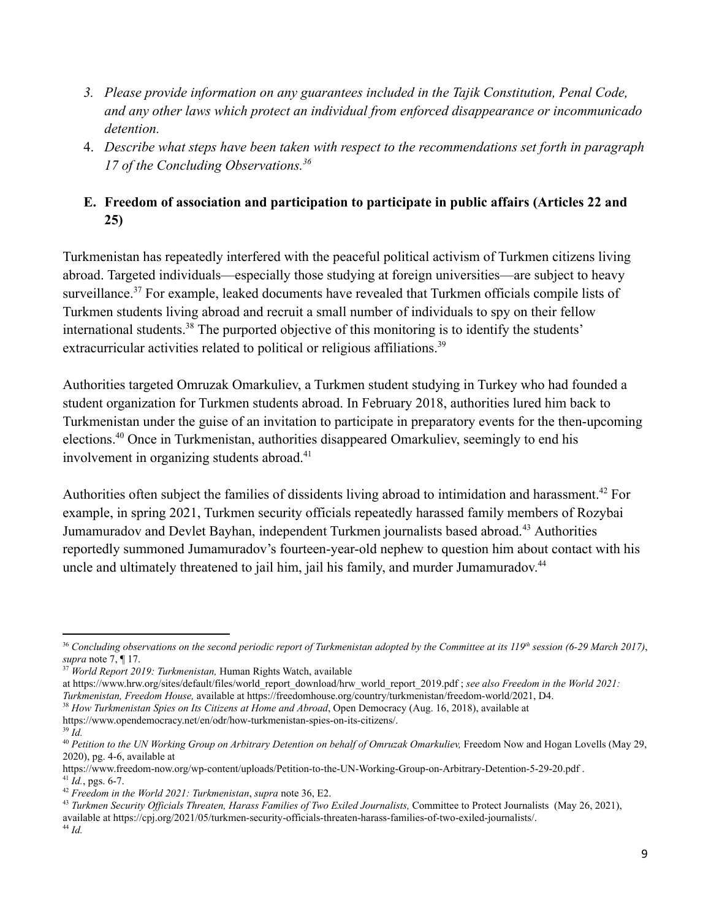- *3. Please provide information on any guarantees included in the Tajik Constitution, Penal Code, and any other laws which protect an individual from enforced disappearance or incommunicado detention.*
- 4. *Describe what steps have been taken with respect to the recommendations set forth in paragraph 17 of the Concluding Observations.<sup>36</sup>*

# **E. Freedom of association and participation to participate in public affairs (Articles 22 and 25)**

Turkmenistan has repeatedly interfered with the peaceful political activism of Turkmen citizens living abroad. Targeted individuals—especially those studying at foreign universities—are subject to heavy surveillance.<sup>37</sup> For example, leaked documents have revealed that Turkmen officials compile lists of Turkmen students living abroad and recruit a small number of individuals to spy on their fellow international students.<sup>38</sup> The purported objective of this monitoring is to identify the students' extracurricular activities related to political or religious affiliations.<sup>39</sup>

Authorities targeted Omruzak Omarkuliev, a Turkmen student studying in Turkey who had founded a student organization for Turkmen students abroad. In February 2018, authorities lured him back to Turkmenistan under the guise of an invitation to participate in preparatory events for the then-upcoming elections.<sup>40</sup> Once in Turkmenistan, authorities disappeared Omarkuliev, seemingly to end his involvement in organizing students abroad.<sup>41</sup>

Authorities often subject the families of dissidents living abroad to intimidation and harassment.<sup>42</sup> For example, in spring 2021, Turkmen security officials repeatedly harassed family members of Rozybai Jumamuradov and Devlet Bayhan, independent Turkmen journalists based abroad.<sup>43</sup> Authorities reportedly summoned Jumamuradov's fourteen-year-old nephew to question him about contact with his uncle and ultimately threatened to jail him, jail his family, and murder Jumamuradov.<sup>44</sup>

39 *Id.*

<sup>36</sup> *Concluding observations on the second periodic report of Turkmenistan adopted by the Committee at its 119th session (6-29 March 2017)*, *supra* note 7, ¶ 17.

<sup>37</sup> *World Report 2019: Turkmenistan,* Human Rights Watch, available

at https://www.hrw.org/sites/default/files/world\_report\_download/hrw\_world\_report\_2019.pdf ; *see also Freedom in the World 2021:*

*Turkmenistan, Freedom House,* available at https://freedomhouse.org/country/turkmenistan/freedom-world/2021, D4.

<sup>38</sup> *How Turkmenistan Spies on Its Citizens at Home and Abroad*, Open Democracy (Aug. 16, 2018), available at https://www.opendemocracy.net/en/odr/how-turkmenistan-spies-on-its-citizens/.

<sup>40</sup> *Petition to the UN Working Group on Arbitrary Detention on behalf of Omruzak Omarkuliev,* Freedom Now and Hogan Lovells (May 29, 2020), pg. 4-6, available at

 $41$  *Id.*, pgs. 6-7. https://www.freedom-now.org/wp-content/uploads/Petition-to-the-UN-Working-Group-on-Arbitrary-Detention-5-29-20.pdf .

<sup>42</sup> *Freedom in the World 2021: Turkmenistan*, *supra* note 36, E2.

<sup>43</sup> *Turkmen Security Officials Threaten, Harass Families of Two Exiled Journalists,* Committee to Protect Journalists (May 26, 2021), available at https://cpj.org/2021/05/turkmen-security-officials-threaten-harass-families-of-two-exiled-journalists/.

<sup>44</sup> *Id.*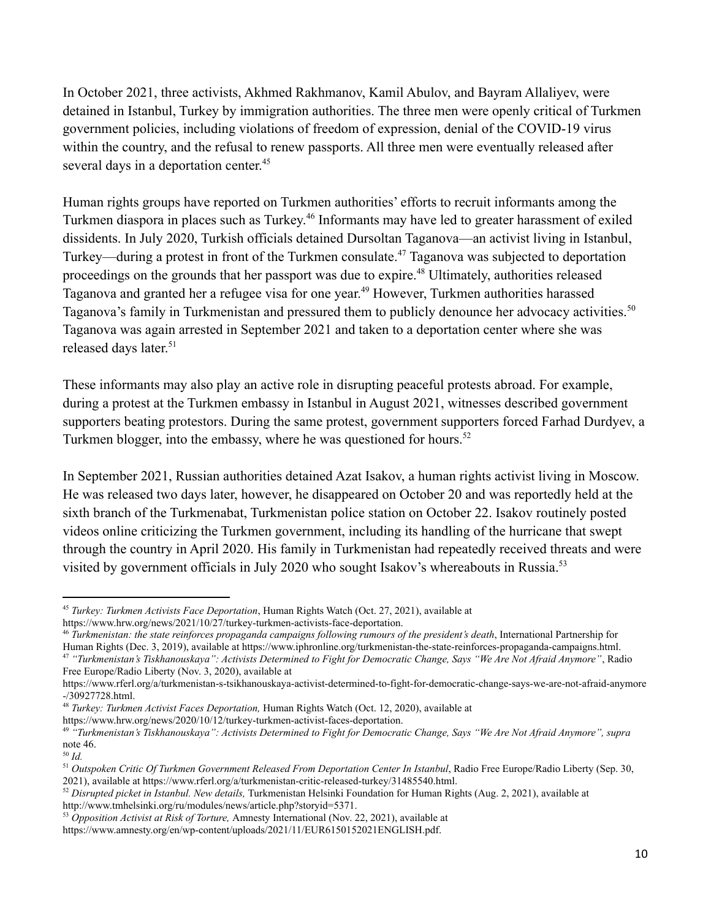In October 2021, three activists, Akhmed Rakhmanov, Kamil Abulov, and Bayram Allaliyev, were detained in Istanbul, Turkey by immigration authorities. The three men were openly critical of Turkmen government policies, including violations of freedom of expression, denial of the COVID-19 virus within the country, and the refusal to renew passports. All three men were eventually released after several days in a deportation center.<sup>45</sup>

Human rights groups have reported on Turkmen authorities' efforts to recruit informants among the Turkmen diaspora in places such as Turkey.<sup>46</sup> Informants may have led to greater harassment of exiled dissidents. In July 2020, Turkish officials detained Dursoltan Taganova—an activist living in Istanbul, Turkey—during a protest in front of the Turkmen consulate.<sup>47</sup> Taganova was subjected to deportation proceedings on the grounds that her passport was due to expire.<sup>48</sup> Ultimately, authorities released Taganova and granted her a refugee visa for one year.<sup>49</sup> However, Turkmen authorities harassed Taganova's family in Turkmenistan and pressured them to publicly denounce her advocacy activities.<sup>50</sup> Taganova was again arrested in September 2021 and taken to a deportation center where she was released days later.<sup>51</sup>

These informants may also play an active role in disrupting peaceful protests abroad. For example, during a protest at the Turkmen embassy in Istanbul in August 2021, witnesses described government supporters beating protestors. During the same protest, government supporters forced Farhad Durdyev, a Turkmen blogger, into the embassy, where he was questioned for hours.<sup>52</sup>

In September 2021, Russian authorities detained Azat Isakov, a human rights activist living in Moscow. He was released two days later, however, he disappeared on October 20 and was reportedly held at the sixth branch of the Turkmenabat, Turkmenistan police station on October 22. Isakov routinely posted videos online criticizing the Turkmen government, including its handling of the hurricane that swept through the country in April 2020. His family in Turkmenistan had repeatedly received threats and were visited by government officials in July 2020 who sought Isakov's whereabouts in Russia.<sup>53</sup>

<sup>45</sup> *Turkey: Turkmen Activists Face Deportation*, Human Rights Watch (Oct. 27, 2021), available at https://www.hrw.org/news/2021/10/27/turkey-turkmen-activists-face-deportation.

<sup>47</sup> *"Turkmenistan's Tiskhanouskaya": Activists Determined to Fight for Democratic Change, Says "We Are Not Afraid Anymore"*, Radio Free Europe/Radio Liberty (Nov. 3, 2020), available at <sup>46</sup> *Turkmenistan: the state reinforces propaganda campaigns following rumours of the president's death*, International Partnership for Human Rights (Dec. 3, 2019), available at https://www.iphronline.org/turkmenistan-the-state-reinforces-propaganda-campaigns.html.

https://www.rferl.org/a/turkmenistan-s-tsikhanouskaya-activist-determined-to-fight-for-democratic-change-says-we-are-not-afraid-anymore -/30927728.html.

<sup>48</sup> *Turkey: Turkmen Activist Faces Deportation,* Human Rights Watch (Oct. 12, 2020), available at

https://www.hrw.org/news/2020/10/12/turkey-turkmen-activist-faces-deportation.

<sup>49</sup> *"Turkmenistan's Tiskhanouskaya": Activists Determined to Fight for Democratic Change, Says "We Are Not Afraid Anymore", supra* note 46.

<sup>50</sup> *Id.*

<sup>51</sup> *Outspoken Critic Of Turkmen Government Released From Deportation Center In Istanbul*, Radio Free Europe/Radio Liberty (Sep. 30, 2021), available at https://www.rferl.org/a/turkmenistan-critic-released-turkey/31485540.html.

<sup>52</sup> *Disrupted picket in Istanbul. New details,* Turkmenistan Helsinki Foundation for Human Rights (Aug. 2, 2021), available at http://www.tmhelsinki.org/ru/modules/news/article.php?storyid=5371.

<sup>53</sup> *Opposition Activist at Risk of Torture,* Amnesty International (Nov. 22, 2021), available at

https://www.amnesty.org/en/wp-content/uploads/2021/11/EUR6150152021ENGLISH.pdf.